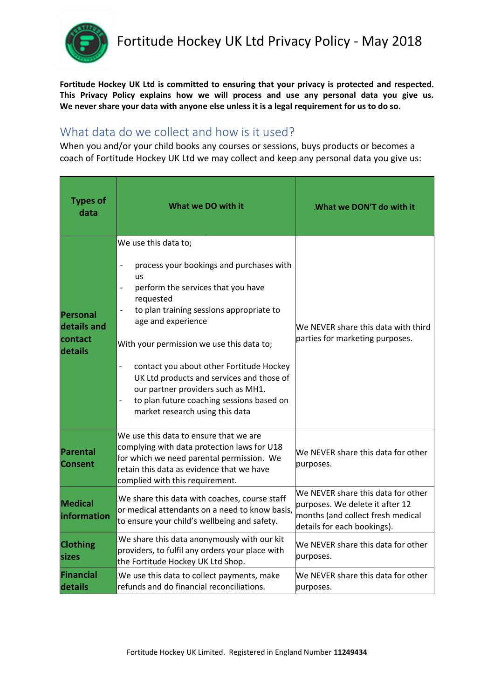

**Fortitude Hockey UK Ltd is committed to ensuring that your privacy is protected and respected. This Privacy Policy explains how we will process and use any personal data you give us. We never share your data with anyone else unless it is a legal requirement for us to do so.**

## What data do we collect and how is it used?

When you and/or your child books any courses or sessions, buys products or becomes a coach of Fortitude Hockey UK Ltd we may collect and keep any personal data you give us:

| <b>Types of</b><br>data                              | What we DO with it                                                                                                                                                                                                                                                                                                                                                                                                                                                                                              | What we DON'T do with it.                                                                                                                 |
|------------------------------------------------------|-----------------------------------------------------------------------------------------------------------------------------------------------------------------------------------------------------------------------------------------------------------------------------------------------------------------------------------------------------------------------------------------------------------------------------------------------------------------------------------------------------------------|-------------------------------------------------------------------------------------------------------------------------------------------|
| <b>Personal</b><br>details and<br>contact<br>details | We use this data to;<br>process your bookings and purchases with<br><b>us</b><br>perform the services that you have<br>requested<br>to plan training sessions appropriate to<br>age and experience<br>With your permission we use this data to;<br>contact you about other Fortitude Hockey<br>$\qquad \qquad -$<br>UK Ltd products and services and those of<br>our partner providers such as MH1.<br>to plan future coaching sessions based on<br>$\overline{\phantom{0}}$<br>market research using this data | We NEVER share this data with third<br>parties for marketing purposes.                                                                    |
| <b>Parental</b><br><b>Consent</b>                    | We use this data to ensure that we are<br>complying with data protection laws for U18<br>for which we need parental permission. We<br>retain this data as evidence that we have<br>complied with this requirement.                                                                                                                                                                                                                                                                                              | We NEVER share this data for other<br>purposes.                                                                                           |
| <b>Medical</b><br>information                        | We share this data with coaches, course staff<br>or medical attendants on a need to know basis,<br>to ensure your child's wellbeing and safety.                                                                                                                                                                                                                                                                                                                                                                 | We NEVER share this data for other<br>purposes. We delete it after 12<br>months (and collect fresh medical<br>details for each bookings). |
| <b>Clothing</b><br>sizes                             | We share this data anonymously with our kit<br>providers, to fulfil any orders your place with<br>the Fortitude Hockey UK Ltd Shop.                                                                                                                                                                                                                                                                                                                                                                             | We NEVER share this data for other<br>purposes.                                                                                           |
| <b>Financial</b><br>details                          | We use this data to collect payments, make<br>refunds and do financial reconciliations.                                                                                                                                                                                                                                                                                                                                                                                                                         | We NEVER share this data for other<br>purposes.                                                                                           |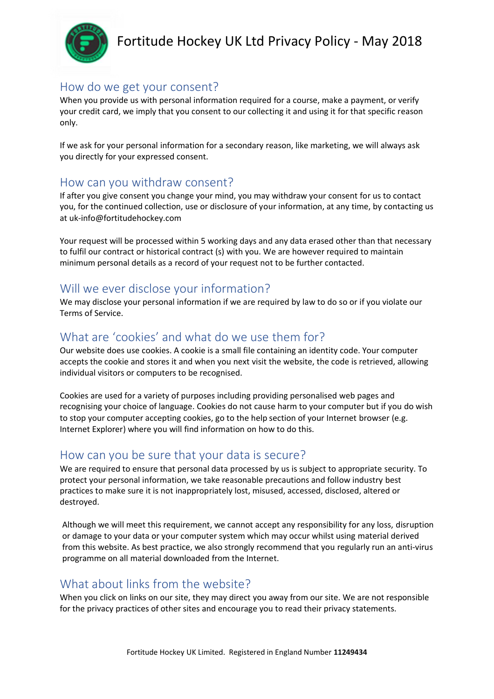

# Fortitude Hockey UK Ltd Privacy Policy - May 2018

## How do we get your consent?

When you provide us with personal information required for a course, make a payment, or verify your credit card, we imply that you consent to our collecting it and using it for that specific reason only.

If we ask for your personal information for a secondary reason, like marketing, we will always ask you directly for your expressed consent.

#### How can you withdraw consent?

If after you give consent you change your mind, you may withdraw your consent for us to contact you, for the continued collection, use or disclosure of your information, at any time, by contacting us at uk-info@fortitudehockey.com

Your request will be processed within 5 working days and any data erased other than that necessary to fulfil our contract or historical contract (s) with you. We are however required to maintain minimum personal details as a record of your request not to be further contacted.

#### Will we ever disclose your information?

We may disclose your personal information if we are required by law to do so or if you violate our Terms of Service.

## What are 'cookies' and what do we use them for?

Our website does use cookies. A cookie is a small file containing an identity code. Your computer accepts the cookie and stores it and when you next visit the website, the code is retrieved, allowing individual visitors or computers to be recognised.

Cookies are used for a variety of purposes including providing personalised web pages and recognising your choice of language. Cookies do not cause harm to your computer but if you do wish to stop your computer accepting cookies, go to the help section of your Internet browser (e.g. Internet Explorer) where you will find information on how to do this.

#### How can you be sure that your data is secure?

We are required to ensure that personal data processed by us is subject to appropriate security. To protect your personal information, we take reasonable precautions and follow industry best practices to make sure it is not inappropriately lost, misused, accessed, disclosed, altered or destroyed.

Although we will meet this requirement, we cannot accept any responsibility for any loss, disruption or damage to your data or your computer system which may occur whilst using material derived from this website. As best practice, we also strongly recommend that you regularly run an anti-virus programme on all material downloaded from the Internet.

### What about links from the website?

When you click on links on our site, they may direct you away from our site. We are not responsible for the privacy practices of other sites and encourage you to read their privacy statements.